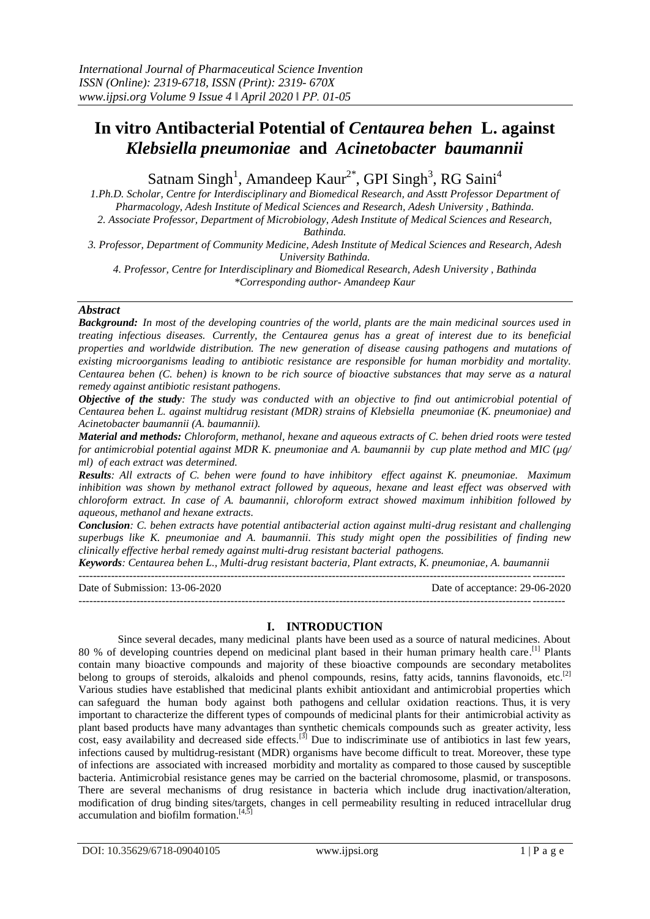# **In vitro Antibacterial Potential of** *Centaurea behen* **L. against**  *Klebsiella pneumoniae* **and** *Acinetobacter baumannii*

Satnam Singh<sup>1</sup>, Amandeep Kaur<sup>2\*</sup>, GPI Singh<sup>3</sup>, RG Saini<sup>4</sup>

*1.Ph.D. Scholar, Centre for Interdisciplinary and Biomedical Research, and Asstt Professor Department of Pharmacology, Adesh Institute of Medical Sciences and Research, Adesh University , Bathinda. 2. Associate Professor, Department of Microbiology, Adesh Institute of Medical Sciences and Research,* 

*Bathinda.*

*3. Professor, Department of Community Medicine, Adesh Institute of Medical Sciences and Research, Adesh University Bathinda.*

*4. Professor, Centre for Interdisciplinary and Biomedical Research, Adesh University , Bathinda \*Corresponding author- Amandeep Kaur*

## *Abstract*

*Background: In most of the developing countries of the world, plants are the main medicinal sources used in treating infectious diseases. Currently, the Centaurea genus has a great of interest due to its beneficial properties and worldwide distribution. The new generation of disease causing pathogens and mutations of existing microorganisms leading to antibiotic resistance are responsible for human morbidity and mortality. Centaurea behen (C. behen) is known to be rich source of bioactive substances that may serve as a natural remedy against antibiotic resistant pathogens.*

*Objective of the study: The study was conducted with an objective to find out antimicrobial potential of Centaurea behen L. against multidrug resistant (MDR) strains of Klebsiella pneumoniae (K. pneumoniae) and Acinetobacter baumannii (A. baumannii).*

*Material and methods: Chloroform, methanol, hexane and aqueous extracts of C. behen dried roots were tested for antimicrobial potential against MDR K. pneumoniae and A. baumannii by cup plate method and MIC (µg/ ml) of each extract was determined.*

*Results: All extracts of C. behen were found to have inhibitory effect against K. pneumoniae. Maximum inhibition was shown by methanol extract followed by aqueous, hexane and least effect was observed with chloroform extract. In case of A. baumannii, chloroform extract showed maximum inhibition followed by aqueous, methanol and hexane extracts.*

*Conclusion: C. behen extracts have potential antibacterial action against multi-drug resistant and challenging superbugs like K. pneumoniae and A. baumannii. This study might open the possibilities of finding new clinically effective herbal remedy against multi-drug resistant bacterial pathogens.*

*Keywords: Centaurea behen L., Multi-drug resistant bacteria, Plant extracts, K. pneumoniae, A. baumannii*

-------------------------------------------------------------------------------------------------------------------------------------- Date of Submission: 13-06-2020 Date of acceptance: 29-06-2020 --------------------------------------------------------------------------------------------------------------------------------------

# **I. INTRODUCTION**

Since several decades, many medicinal plants have been used as a source of natural medicines. About 80 % of developing countries depend on medicinal plant based in their human primary health care.<sup>[1]</sup> Plants contain many bioactive compounds and majority of these bioactive compounds are secondary metabolites belong to groups of steroids, alkaloids and phenol compounds, resins, fatty acids, tannins flavonoids, etc.<sup>[2]</sup> Various studies have established that medicinal plants exhibit antioxidant and antimicrobial properties which can safeguard the human body against both pathogens and cellular oxidation reactions. Thus, it is very important to characterize the different types of compounds of medicinal plants for their antimicrobial activity as plant based products have many advantages than synthetic chemicals compounds such as greater activity, less cost, easy availability and decreased side effects.<sup>[3]</sup> Due to indiscriminate use of antibiotics in last few years, infections caused by multidrug-resistant (MDR) organisms have become difficult to treat. Moreover, these type of infections are associated with increased morbidity and mortality as compared to those caused by susceptible bacteria. Antimicrobial resistance genes may be carried on the bacterial chromosome, plasmid, or transposons. There are several mechanisms of drug resistance in bacteria which include drug inactivation/alteration, modification of drug binding sites/targets, changes in cell permeability resulting in reduced intracellular drug accumulation and biofilm formation.<sup>[4,5]</sup>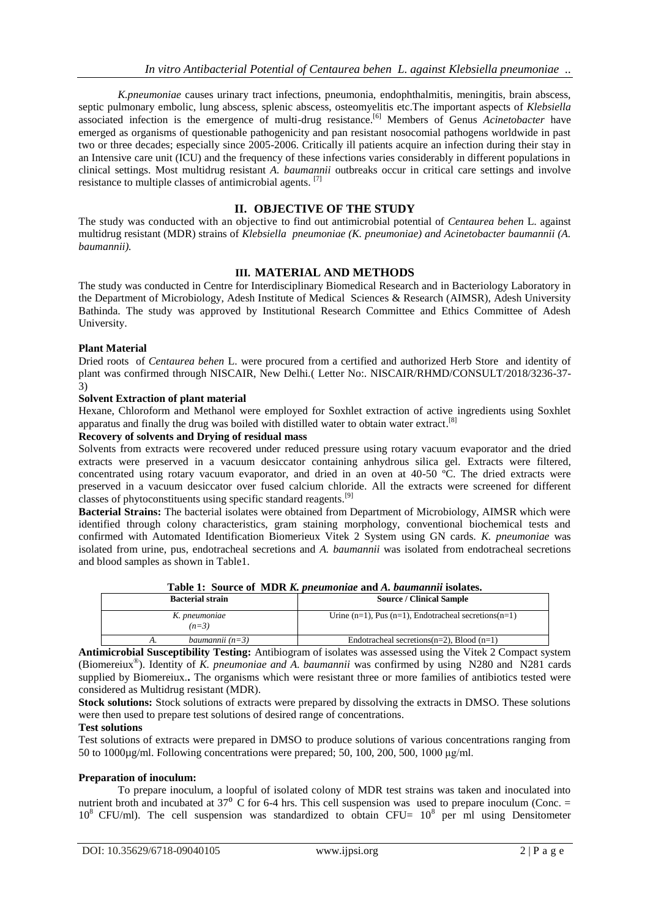*K.pneumoniae* causes urinary tract infections, pneumonia, endophthalmitis, meningitis, brain abscess, septic pulmonary embolic, lung abscess, splenic abscess, osteomyelitis etc.The important aspects of *Klebsiella*  associated infection is the emergence of multi-drug resistance.[6] Members of Genus *Acinetobacter* have emerged as organisms of questionable pathogenicity and pan resistant nosocomial pathogens worldwide in past two or three decades; especially since 2005-2006. Critically ill patients acquire an infection during their stay in an Intensive care unit (ICU) and the frequency of these infections varies considerably in different populations in clinical settings. Most multidrug resistant *A. baumannii* outbreaks occur in critical care settings and involve resistance to multiple classes of antimicrobial agents.<sup>[7]</sup>

## **II. OBJECTIVE OF THE STUDY**

The study was conducted with an objective to find out antimicrobial potential of *Centaurea behen* L. against multidrug resistant (MDR) strains of *Klebsiella pneumoniae (K. pneumoniae) and Acinetobacter baumannii (A. baumannii).*

## **III. MATERIAL AND METHODS**

The study was conducted in Centre for Interdisciplinary Biomedical Research and in Bacteriology Laboratory in the Department of Microbiology, Adesh Institute of Medical Sciences & Research (AIMSR), Adesh University Bathinda. The study was approved by Institutional Research Committee and Ethics Committee of Adesh University.

#### **Plant Material**

Dried roots of *Centaurea behen* L. were procured from a certified and authorized Herb Store and identity of plant was confirmed through NISCAIR, New Delhi.( Letter No:. NISCAIR/RHMD/CONSULT/2018/3236-37- 3)

#### **Solvent Extraction of plant material**

Hexane, Chloroform and Methanol were employed for Soxhlet extraction of active ingredients using Soxhlet apparatus and finally the drug was boiled with distilled water to obtain water extract.<sup>[8]</sup>

## **Recovery of solvents and Drying of residual mass**

Solvents from extracts were recovered under reduced pressure using rotary vacuum evaporator and the dried extracts were preserved in a vacuum desiccator containing anhydrous silica gel. Extracts were filtered, concentrated using rotary vacuum evaporator, and dried in an oven at 40-50 ºC. The dried extracts were preserved in a vacuum desiccator over fused calcium chloride. All the extracts were screened for different classes of phytoconstituents using specific standard reagents.<sup>[9]</sup>

**Bacterial Strains:** The bacterial isolates were obtained from Department of Microbiology, AIMSR which were identified through colony characteristics, gram staining morphology, conventional biochemical tests and confirmed with Automated Identification Biomerieux Vitek 2 System using GN cards. *K. pneumoniae* was isolated from urine, pus, endotracheal secretions and *A. baumannii* was isolated from endotracheal secretions and blood samples as shown in Table1.

|                          | Table 1. Dource of the IX became that and the bannaming footates. |  |  |
|--------------------------|-------------------------------------------------------------------|--|--|
| <b>Bacterial strain</b>  | <b>Source / Clinical Sample</b>                                   |  |  |
| K. pneumoniae<br>$(n=3)$ | Urine $(n=1)$ , Pus $(n=1)$ , Endotracheal secretions $(n=1)$     |  |  |
| baumannii $(n=3)$        | Endotracheal secretions( $n=2$ ), Blood ( $n=1$ )                 |  |  |

**Table 1: Source of MDR** *K. pneumoniae* **and** *A. baumannii* **isolates.**

**Antimicrobial Susceptibility Testing:** Antibiogram of isolates was assessed using the Vitek 2 Compact system (Biomereiux® ). Identity of *K. pneumoniae and A. baumannii* was confirmed by using N280 and N281 cards supplied by Biomereiux.**.** The organisms which were resistant three or more families of antibiotics tested were considered as Multidrug resistant (MDR).

**Stock solutions:** Stock solutions of extracts were prepared by dissolving the extracts in DMSO. These solutions were then used to prepare test solutions of desired range of concentrations.

## **Test solutions**

Test solutions of extracts were prepared in DMSO to produce solutions of various concentrations ranging from 50 to 1000µg/ml. Following concentrations were prepared; 50, 100, 200, 500, 1000 μg/ml.

#### **Preparation of inoculum:**

To prepare inoculum, a loopful of isolated colony of MDR test strains was taken and inoculated into nutrient broth and incubated at  $37^{\circ}$  C for 6-4 hrs. This cell suspension was used to prepare inoculum (Conc. =  $10^8$  CFU/ml). The cell suspension was standardized to obtain CFU=  $10^8$  per ml using Densitometer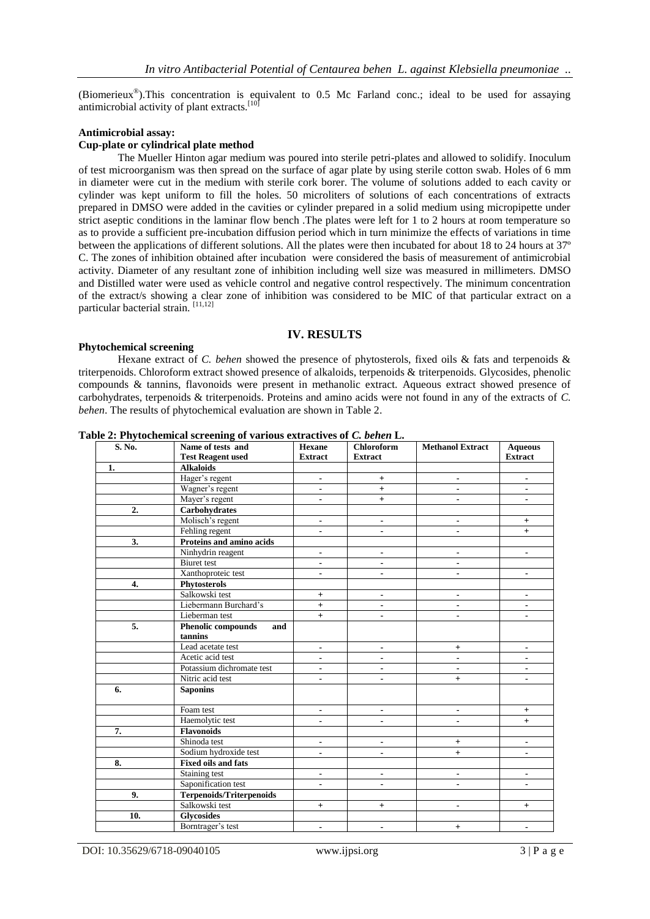(Biomerieux® ).This concentration is equivalent to 0.5 Mc Farland conc.; ideal to be used for assaying antimicrobial activity of plant extracts.<sup>[10]</sup>

#### **Antimicrobial assay:**

## **Cup-plate or cylindrical plate method**

The Mueller Hinton agar medium was poured into sterile petri-plates and allowed to solidify. Inoculum of test microorganism was then spread on the surface of agar plate by using sterile cotton swab. Holes of 6 mm in diameter were cut in the medium with sterile cork borer. The volume of solutions added to each cavity or cylinder was kept uniform to fill the holes. 50 microliters of solutions of each concentrations of extracts prepared in DMSO were added in the cavities or cylinder prepared in a solid medium using micropipette under strict aseptic conditions in the laminar flow bench .The plates were left for 1 to 2 hours at room temperature so as to provide a sufficient pre-incubation diffusion period which in turn minimize the effects of variations in time between the applications of different solutions. All the plates were then incubated for about 18 to 24 hours at 37º C. The zones of inhibition obtained after incubation were considered the basis of measurement of antimicrobial activity. Diameter of any resultant zone of inhibition including well size was measured in millimeters. DMSO and Distilled water were used as vehicle control and negative control respectively. The minimum concentration of the extract/s showing a clear zone of inhibition was considered to be MIC of that particular extract on a particular bacterial strain. [11,12]

#### **IV. RESULTS**

#### **Phytochemical screening**

Hexane extract of *C. behen* showed the presence of phytosterols, fixed oils & fats and terpenoids & triterpenoids. Chloroform extract showed presence of alkaloids, terpenoids & triterpenoids. Glycosides, phenolic compounds & tannins, flavonoids were present in methanolic extract. Aqueous extract showed presence of carbohydrates, terpenoids & triterpenoids. Proteins and amino acids were not found in any of the extracts of *C. behen*. The results of phytochemical evaluation are shown in Table 2.

| S. No. | Name of tests and                | <b>Hexane</b>            | <b>Chloroform</b>        | <b>Methanol Extract</b>  | <b>Aqueous</b>           |
|--------|----------------------------------|--------------------------|--------------------------|--------------------------|--------------------------|
|        | <b>Test Reagent used</b>         | <b>Extract</b>           | <b>Extract</b>           |                          | <b>Extract</b>           |
| 1.     | <b>Alkaloids</b>                 |                          |                          |                          |                          |
|        | Hager's regent                   |                          | $\ddot{}$                | $\blacksquare$           | $\overline{\phantom{a}}$ |
|        | Wagner's regent                  | $\blacksquare$           | $\ddot{}$                |                          | $\blacksquare$           |
|        | Mayer's regent                   | $\blacksquare$           | $\ddot{}$                |                          |                          |
| 2.     | Carbohydrates                    |                          |                          |                          |                          |
|        | Molisch's regent                 | $\blacksquare$           | $\blacksquare$           | -                        | $+$                      |
|        | Fehling regent                   | $\blacksquare$           | $\blacksquare$           | $\blacksquare$           | $+$                      |
| 3.     | Proteins and amino acids         |                          |                          |                          |                          |
|        | Ninhydrin reagent                | $\overline{\phantom{a}}$ |                          |                          | $\blacksquare$           |
|        | <b>Biuret</b> test               | $\blacksquare$           |                          |                          |                          |
|        | Xanthoproteic test               |                          |                          |                          | $\blacksquare$           |
| 4.     | Phytosterols                     |                          |                          |                          |                          |
|        | Salkowski test                   | $\ddot{}$                |                          | $\overline{a}$           | $\blacksquare$           |
|        | Liebermann Burchard's            | $+$                      |                          | $\overline{\phantom{a}}$ | $\blacksquare$           |
|        | Lieberman test                   | $+$                      |                          | $\blacksquare$           | $\blacksquare$           |
| 5.     | <b>Phenolic compounds</b><br>and |                          |                          |                          |                          |
|        | tannins                          |                          |                          |                          |                          |
|        | Lead acetate test                | $\blacksquare$           | $\overline{\phantom{a}}$ | $+$                      | $\blacksquare$           |
|        | Acetic acid test                 | $\blacksquare$           |                          | $\blacksquare$           | $\blacksquare$           |
|        | Potassium dichromate test        | $\blacksquare$           |                          | $\blacksquare$           | $\blacksquare$           |
|        | Nitric acid test                 | $\overline{\phantom{a}}$ | $\overline{\phantom{a}}$ | $+$                      | $\blacksquare$           |
| 6.     | <b>Saponins</b>                  |                          |                          |                          |                          |
|        |                                  |                          |                          |                          |                          |
|        | Foam test                        | $\blacksquare$           | $\blacksquare$           | $\blacksquare$           | $+$                      |
|        | Haemolytic test                  | $\blacksquare$           | $\blacksquare$           | $\blacksquare$           | $+$                      |
| 7.     | <b>Flavonoids</b>                |                          |                          |                          |                          |
|        | Shinoda test                     | $\blacksquare$           | $\blacksquare$           | $+$                      | $\blacksquare$           |
|        | Sodium hydroxide test            | $\blacksquare$           | $\blacksquare$           | $+$                      | $\blacksquare$           |
| 8.     | <b>Fixed oils and fats</b>       |                          |                          |                          |                          |
|        | Staining test                    | $\blacksquare$           | $\blacksquare$           | $\blacksquare$           | $\blacksquare$           |
|        | Saponification test              | $\overline{\phantom{a}}$ | $\blacksquare$           | $\blacksquare$           | $\overline{\phantom{a}}$ |
| 9.     | <b>Terpenoids/Triterpenoids</b>  |                          |                          |                          |                          |
|        | Salkowski test                   | $+$                      | $+$                      | $\blacksquare$           | $+$                      |
| 10.    | <b>Glycosides</b>                |                          |                          |                          |                          |
|        | Borntrager's test                | $\overline{\phantom{a}}$ | $\overline{\phantom{a}}$ | $+$                      | $\blacksquare$           |

**Table 2: Phytochemical screening of various extractives of** *C. behen* **L.**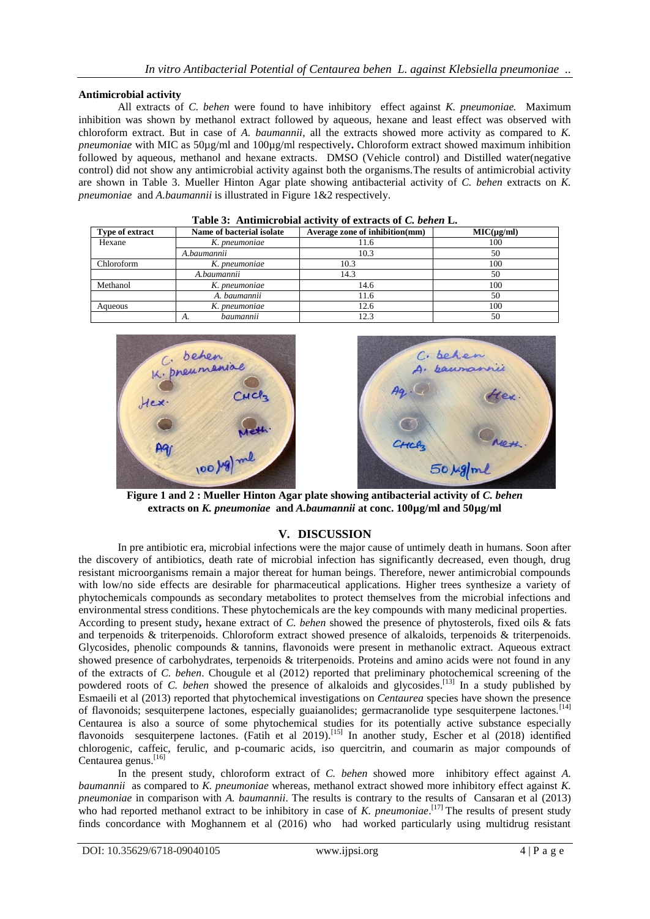## **Antimicrobial activity**

All extracts of *C. behen* were found to have inhibitory effect against *K. pneumoniae.* Maximum inhibition was shown by methanol extract followed by aqueous, hexane and least effect was observed with chloroform extract. But in case of *A. baumannii*, all the extracts showed more activity as compared to *K. pneumoniae* with MIC as 50µg/ml and 100µg/ml respectively**.** Chloroform extract showed maximum inhibition followed by aqueous, methanol and hexane extracts. DMSO (Vehicle control) and Distilled water(negative control) did not show any antimicrobial activity against both the organisms.The results of antimicrobial activity are shown in Table 3. Mueller Hinton Agar plate showing antibacterial activity of *C. behen* extracts on *K. pneumoniae* and *A.baumannii* is illustrated in Figure 1&2 respectively.

| <b>Type of extract</b> | Name of bacterial isolate | Average zone of inhibition(mm) | $MIC(\mug/ml)$ |  |
|------------------------|---------------------------|--------------------------------|----------------|--|
| Hexane                 | K. pneumoniae             | 11.6                           | 100            |  |
|                        | A.baumannii               | 10.3                           | 50             |  |
| Chloroform             | K. pneumoniae             | 10.3                           | 100            |  |
|                        | A.baumannii               | 14.3                           | 50             |  |
| Methanol               | K. pneumoniae             | 14.6                           | 100            |  |
|                        | A. baumannii              | 11.6                           | 50             |  |
| Aqueous                | K. pneumoniae             | 12.6                           | 100            |  |
|                        | baumannii<br>А.           | 12.3                           | 50             |  |





**Figure 1 and 2 : Mueller Hinton Agar plate showing antibacterial activity of** *C. behen* **extracts on** *K. pneumoniae* **and** *A.baumannii* **at conc. 100µg/ml and 50µg/ml**

## **V. DISCUSSION**

In pre antibiotic era, microbial infections were the major cause of untimely death in humans. Soon after the discovery of antibiotics, death rate of microbial infection has significantly decreased, even though, drug resistant microorganisms remain a major thereat for human beings. Therefore, newer antimicrobial compounds with low/no side effects are desirable for pharmaceutical applications. Higher trees synthesize a variety of phytochemicals compounds as secondary metabolites to protect themselves from the microbial infections and environmental stress conditions. These phytochemicals are the key compounds with many medicinal properties. According to present study**,** hexane extract of *C. behen* showed the presence of phytosterols, fixed oils & fats and terpenoids & triterpenoids. Chloroform extract showed presence of alkaloids, terpenoids & triterpenoids. Glycosides, phenolic compounds & tannins, flavonoids were present in methanolic extract. Aqueous extract showed presence of carbohydrates, terpenoids & triterpenoids. Proteins and amino acids were not found in any of the extracts of *C. behen*. Chougule et al (2012) reported that preliminary photochemical screening of the powdered roots of *C. behen* showed the presence of alkaloids and glycosides.<sup>[13]</sup> In a study published by Esmaeili et al (2013) reported that phytochemical investigations on *Centaurea* species have shown the presence of flavonoids; sesquiterpene lactones, especially guaianolides; germacranolide type sesquiterpene lactones.<sup>[14]</sup> Centaurea is also a source of some phytochemical studies for its potentially active substance especially flavonoids sesquiterpene lactones. (Fatih et al 2019).[15] In another study, Escher et al (2018) identified chlorogenic, caffeic, ferulic, and p-coumaric acids, iso quercitrin, and coumarin as major compounds of Centaurea genus. [16]

In the present study, chloroform extract of *C. behen* showed more inhibitory effect against *A. baumannii* as compared to *K. pneumoniae* whereas*,* methanol extract showed more inhibitory effect against *K. pneumoniae* in comparison with *A. baumannii*. The results is contrary to the results of Cansaran et al (2013) who had reported methanol extract to be inhibitory in case of *K. pneumoniae*.<sup>[17]</sup> The results of present study finds concordance with Moghannem et al (2016) who had worked particularly using multidrug resistant